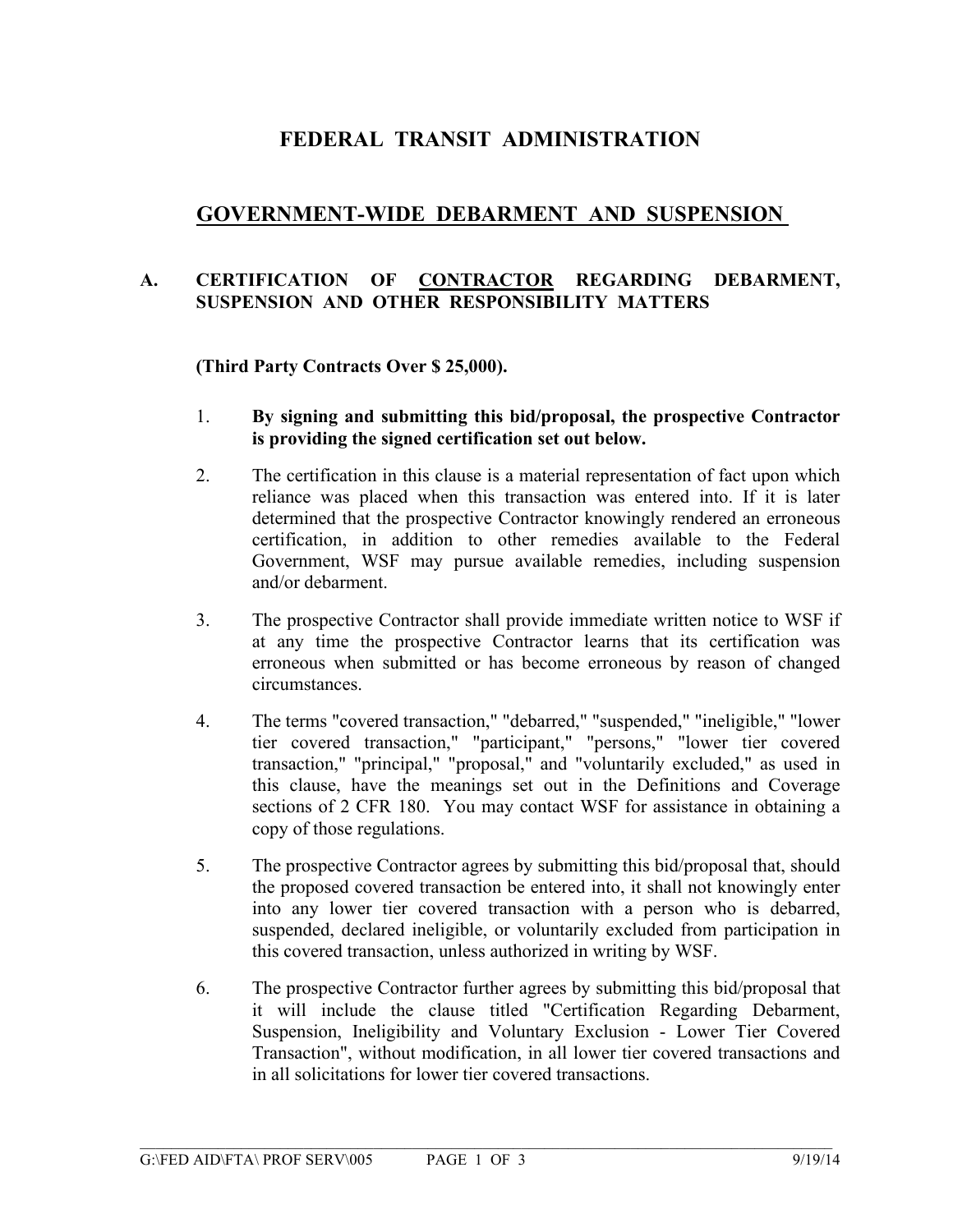## **FEDERAL TRANSIT ADMINISTRATION**

### **GOVERNMENT-WIDE DEBARMENT AND SUSPENSION**

#### **A. CERTIFICATION OF CONTRACTOR REGARDING DEBARMENT, SUSPENSION AND OTHER RESPONSIBILITY MATTERS**

#### **(Third Party Contracts Over \$ 25,000).**

- 1. **By signing and submitting this bid/proposal, the prospective Contractor is providing the signed certification set out below.**
- 2. The certification in this clause is a material representation of fact upon which reliance was placed when this transaction was entered into. If it is later determined that the prospective Contractor knowingly rendered an erroneous certification, in addition to other remedies available to the Federal Government, WSF may pursue available remedies, including suspension and/or debarment.
- 3. The prospective Contractor shall provide immediate written notice to WSF if at any time the prospective Contractor learns that its certification was erroneous when submitted or has become erroneous by reason of changed circumstances.
- 4. The terms "covered transaction," "debarred," "suspended," "ineligible," "lower tier covered transaction," "participant," "persons," "lower tier covered transaction," "principal," "proposal," and "voluntarily excluded," as used in this clause, have the meanings set out in the Definitions and Coverage sections of 2 CFR 180. You may contact WSF for assistance in obtaining a copy of those regulations.
- 5. The prospective Contractor agrees by submitting this bid/proposal that, should the proposed covered transaction be entered into, it shall not knowingly enter into any lower tier covered transaction with a person who is debarred, suspended, declared ineligible, or voluntarily excluded from participation in this covered transaction, unless authorized in writing by WSF.
- 6. The prospective Contractor further agrees by submitting this bid/proposal that it will include the clause titled "Certification Regarding Debarment, Suspension, Ineligibility and Voluntary Exclusion - Lower Tier Covered Transaction", without modification, in all lower tier covered transactions and in all solicitations for lower tier covered transactions.

 $\mathcal{L}_\mathcal{L} = \{ \mathcal{L}_\mathcal{L} = \{ \mathcal{L}_\mathcal{L} = \{ \mathcal{L}_\mathcal{L} = \{ \mathcal{L}_\mathcal{L} = \{ \mathcal{L}_\mathcal{L} = \{ \mathcal{L}_\mathcal{L} = \{ \mathcal{L}_\mathcal{L} = \{ \mathcal{L}_\mathcal{L} = \{ \mathcal{L}_\mathcal{L} = \{ \mathcal{L}_\mathcal{L} = \{ \mathcal{L}_\mathcal{L} = \{ \mathcal{L}_\mathcal{L} = \{ \mathcal{L}_\mathcal{L} = \{ \mathcal{L}_\mathcal{$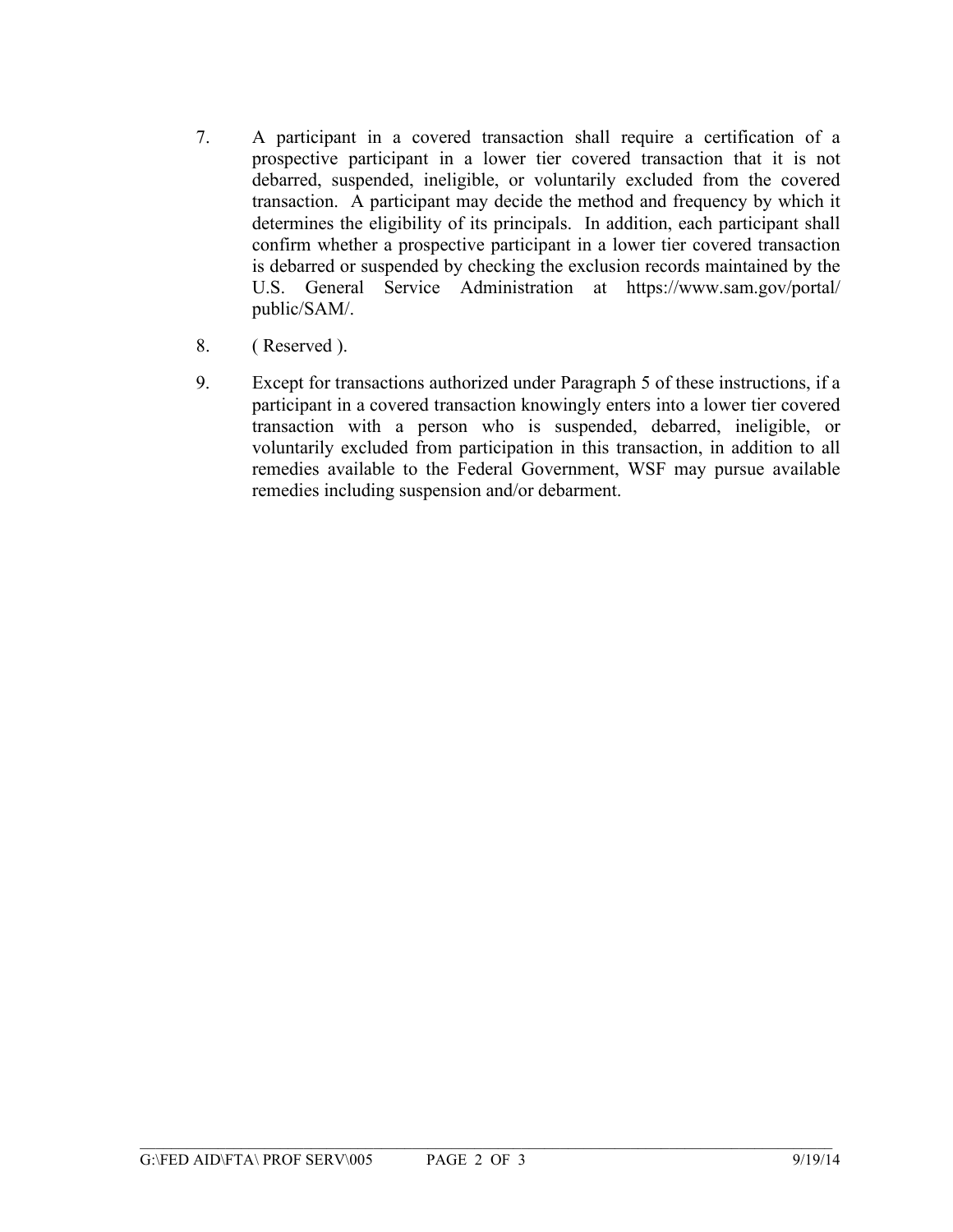- 7. A participant in a covered transaction shall require a certification of a prospective participant in a lower tier covered transaction that it is not debarred, suspended, ineligible, or voluntarily excluded from the covered transaction. A participant may decide the method and frequency by which it determines the eligibility of its principals. In addition, each participant shall confirm whether a prospective participant in a lower tier covered transaction is debarred or suspended by checking the exclusion records maintained by the U.S. General Service Administration at https://www.sam.gov/portal/ public/SAM/.
- 8. ( Reserved ).
- 9. Except for transactions authorized under Paragraph 5 of these instructions, if a participant in a covered transaction knowingly enters into a lower tier covered transaction with a person who is suspended, debarred, ineligible, or voluntarily excluded from participation in this transaction, in addition to all remedies available to the Federal Government, WSF may pursue available remedies including suspension and/or debarment.

 $\mathcal{L}_\mathcal{L} = \{ \mathcal{L}_\mathcal{L} = \{ \mathcal{L}_\mathcal{L} = \{ \mathcal{L}_\mathcal{L} = \{ \mathcal{L}_\mathcal{L} = \{ \mathcal{L}_\mathcal{L} = \{ \mathcal{L}_\mathcal{L} = \{ \mathcal{L}_\mathcal{L} = \{ \mathcal{L}_\mathcal{L} = \{ \mathcal{L}_\mathcal{L} = \{ \mathcal{L}_\mathcal{L} = \{ \mathcal{L}_\mathcal{L} = \{ \mathcal{L}_\mathcal{L} = \{ \mathcal{L}_\mathcal{L} = \{ \mathcal{L}_\mathcal{$